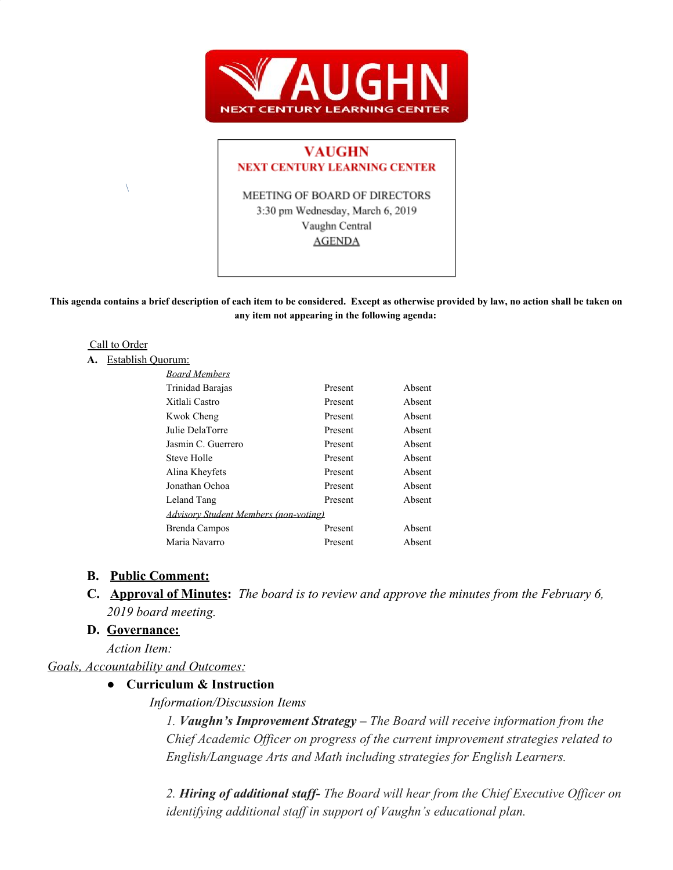

## **VAUGHN NEXT CENTURY LEARNING CENTER**

MEETING OF BOARD OF DIRECTORS 3:30 pm Wednesday, March 6, 2019 Vaughn Central **AGENDA** 

**This agenda contains a brief description of each item to be considered. Except as otherwise provided by law, no action shall be taken on any item not appearing in the following agenda:**

#### Call to Order

#### **A.** Establish Quorum:

 $\setminus$ 

| <b>Board Members</b>                         |         |        |
|----------------------------------------------|---------|--------|
| Trinidad Barajas                             | Present | Absent |
| Xitlali Castro                               | Present | Absent |
| Kwok Cheng                                   | Present | Absent |
| Julie DelaTorre                              | Present | Absent |
| Jasmin C. Guerrero                           | Present | Absent |
| Steve Holle                                  | Present | Absent |
| Alina Kheyfets                               | Present | Absent |
| Jonathan Ochoa                               | Present | Absent |
| Leland Tang                                  | Present | Absent |
| <b>Advisory Student Members (non-voting)</b> |         |        |
| Brenda Campos                                | Present | Absent |
| Maria Navarro                                | Present | Absent |

### **B. Public Comment:**

**C. Approval of Minutes:** *The board is to review and approve the minutes from the February 6, 2019 board meeting.*

### **D. Governance:**

*Action Item:*

## *Goals, Accountability and Outcomes:*

# **● Curriculum & Instruction**

### *Information/Discussion Items*

*1. Vaughn's Improvement Strategy – The Board will receive information from the Chief Academic Officer on progress of the current improvement strategies related to English/Language Arts and Math including strategies for English Learners.*

*2. Hiring of additional staff- The Board will hear from the Chief Executive Officer on identifying additional staff in support of Vaughn's educational plan.*